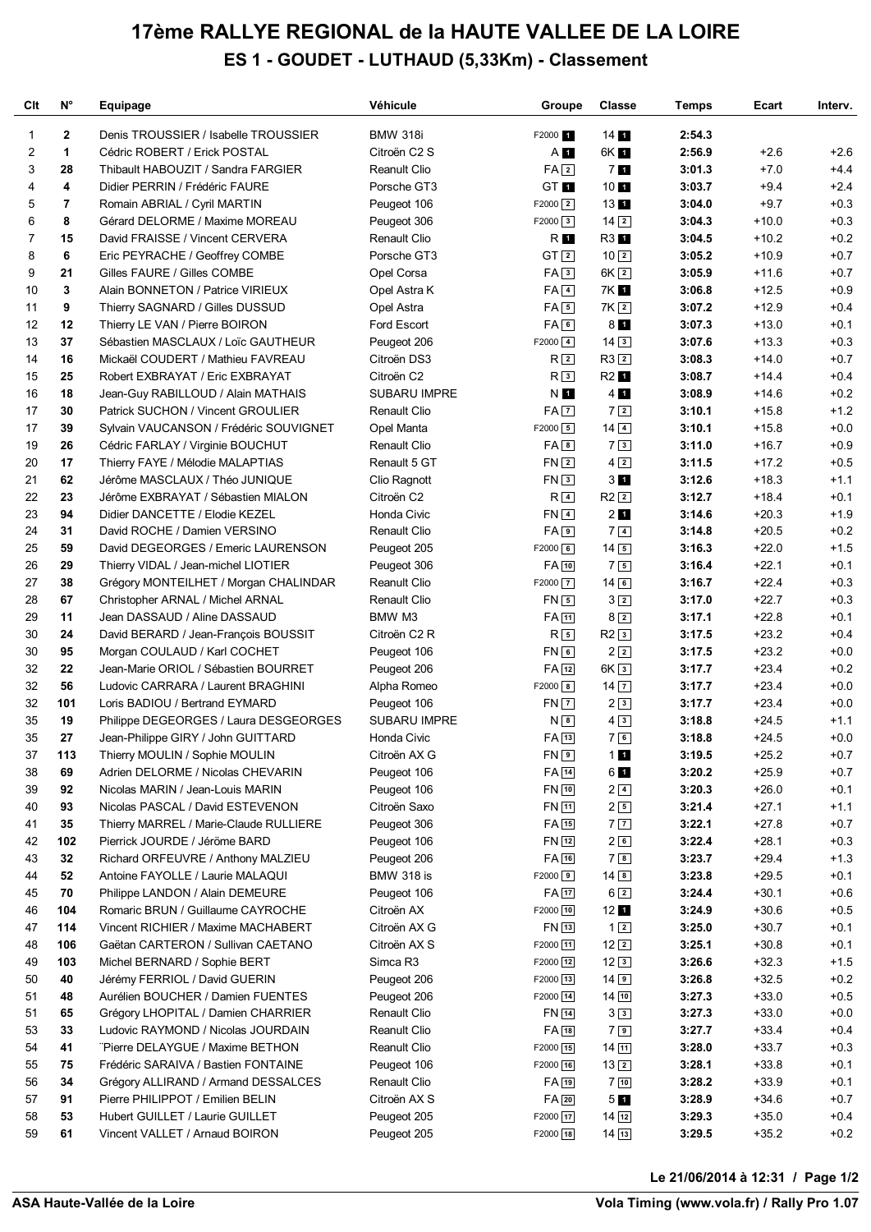## **17ème RALLYE REGIONAL de la HAUTE VALLEE DE LA LOIRE ES 1 - GOUDET - LUTHAUD (5,33Km) - Classement**

| Clt      | N°                      | Equipage                                                                | Véhicule                    | Groupe                                   | <b>Classe</b>               | Temps            | Ecart              | Interv.          |
|----------|-------------------------|-------------------------------------------------------------------------|-----------------------------|------------------------------------------|-----------------------------|------------------|--------------------|------------------|
| 1        | $\mathbf{2}$            | Denis TROUSSIER / Isabelle TROUSSIER                                    | <b>BMW 318i</b>             | F2000 1                                  | 14 <sub>1</sub>             | 2:54.3           |                    |                  |
| 2        | $\mathbf{1}$            | Cédric ROBERT / Erick POSTAL                                            | Citroën C <sub>2</sub> S    | $A$ 1                                    | 6K 1                        | 2:56.9           | $+2.6$             | $+2.6$           |
| 3        | 28                      | Thibault HABOUZIT / Sandra FARGIER                                      | Reanult Clio                | FA <sub>2</sub>                          | 7 <sub>1</sub>              | 3:01.3           | $+7.0$             | $+4.4$           |
| 4        | 4                       | Didier PERRIN / Frédéric FAURE                                          | Porsche GT3                 | GT <sub>1</sub>                          | 10 <sub>1</sub>             | 3:03.7           | $+9.4$             | $+2.4$           |
| 5        | $\overline{\mathbf{r}}$ | Romain ABRIAL / Cyril MARTIN                                            | Peugeot 106                 | $F2000$ $2$                              | 13 1                        | 3:04.0           | $+9.7$             | $+0.3$           |
| 6        | 8                       | Gérard DELORME / Maxime MOREAU                                          | Peugeot 306                 | $F2000$ 3                                | $14\sqrt{2}$                | 3:04.3           | $+10.0$            | $+0.3$           |
| 7        | 15                      | David FRAISSE / Vincent CERVERA                                         | <b>Renault Clio</b>         | R 1                                      | R3 1                        | 3:04.5           | $+10.2$            | $+0.2$           |
| 8        | 6                       | Eric PEYRACHE / Geoffrey COMBE                                          | Porsche GT3                 | GT <sub>2</sub>                          | $10\sqrt{2}$                | 3:05.2           | $+10.9$            | $+0.7$           |
| 9        | 21                      | Gilles FAURE / Gilles COMBE                                             | Opel Corsa                  | FA3                                      | $6K$ $2$                    | 3:05.9           | $+11.6$            | $+0.7$           |
| 10       | 3                       | Alain BONNETON / Patrice VIRIEUX                                        | Opel Astra K                | $FA$ <sup>4</sup>                        | 7K 1                        | 3:06.8           | $+12.5$            | $+0.9$           |
| 11       | 9                       | Thierry SAGNARD / Gilles DUSSUD                                         | Opel Astra                  | $FA \overline{5}$                        | 7K <sub>2</sub>             | 3:07.2           | $+12.9$            | $+0.4$           |
| 12       | 12                      | Thierry LE VAN / Pierre BOIRON                                          | Ford Escort                 | FA6                                      | 8 <sub>1</sub>              | 3:07.3           | $+13.0$            | $+0.1$           |
| 13       | 37                      | Sébastien MASCLAUX / Loïc GAUTHEUR                                      | Peugeot 206                 | $F2000$ $4$                              | $14\overline{3}$            | 3:07.6           | $+13.3$            | $+0.3$           |
| 14       | 16                      | Mickaël COUDERT / Mathieu FAVREAU                                       | Citroën DS3                 | R <sub>2</sub>                           | $R3$ $2$                    | 3:08.3           | $+14.0$            | $+0.7$           |
| 15       | 25                      | Robert EXBRAYAT / Eric EXBRAYAT                                         | Citroën C2                  | R <sub>3</sub>                           | R <sub>2</sub> 1            | 3:08.7           | $+14.4$            | $+0.4$           |
| 16       | 18                      | Jean-Guy RABILLOUD / Alain MATHAIS                                      | SUBARU IMPRE                | N O                                      | 4 <sub>1</sub>              | 3:08.9           | $+14.6$            | $+0.2$           |
| 17       | 30                      | Patrick SUCHON / Vincent GROULIER                                       | <b>Renault Clio</b>         | FA 7                                     | 72                          | 3:10.1           | $+15.8$            | $+1.2$           |
| 17       | 39                      | Sylvain VAUCANSON / Frédéric SOUVIGNET                                  | Opel Manta                  | $F2000$ 5                                | $14\overline{4}$            | 3:10.1           | $+15.8$            | $+0.0$           |
| 19       | 26                      | Cédric FARLAY / Virginie BOUCHUT                                        | <b>Renault Clio</b>         | $FA$ $8$                                 | 73                          | 3:11.0           | $+16.7$            | $+0.9$           |
| 20       | 17                      | Thierry FAYE / Mélodie MALAPTIAS                                        | Renault 5 GT                | FN <sub>2</sub>                          | $4\sqrt{2}$                 | 3:11.5           | $+17.2$            | $+0.5$           |
| 21       | 62                      | Jérôme MASCLAUX / Théo JUNIQUE                                          | Clio Ragnott                | FN3                                      | 3 <sub>1</sub>              | 3:12.6           | $+18.3$            | $+1.1$           |
| 22       | 23                      | Jérôme EXBRAYAT / Sébastien MIALON                                      | Citroën C2                  | $R\sqrt{4}$                              | $R2$ $2$                    | 3:12.7           | $+18.4$            | $+0.1$           |
| 23       | 94                      | Didier DANCETTE / Elodie KEZEL                                          | Honda Civic                 | $FN$ <sup>4</sup>                        | 2 <sub>1</sub>              | 3:14.6           | $+20.3$            | $+1.9$           |
| 24       | 31                      | David ROCHE / Damien VERSINO                                            | <b>Renault Clio</b>         | FA9                                      | 7 <sup>4</sup>              | 3:14.8           | $+20.5$            | $+0.2$           |
| 25       | 59                      | David DEGEORGES / Emeric LAURENSON                                      | Peugeot 205                 | $F2000$ 6                                | $14\sqrt{5}$                | 3:16.3           | $+22.0$            | $+1.5$           |
| 26       | 29                      | Thierry VIDAL / Jean-michel LIOTIER                                     | Peugeot 306                 | FA 10                                    | 7 <sub>5</sub>              | 3:16.4           | $+22.1$            | $+0.1$           |
| 27       | 38                      | Grégory MONTEILHET / Morgan CHALINDAR                                   | <b>Reanult Clio</b>         | $F2000$ $\boxed{7}$                      | $14$ 6                      | 3:16.7           | $+22.4$            | $+0.3$           |
| 28       | 67                      | Christopher ARNAL / Michel ARNAL                                        | <b>Renault Clio</b>         | $FN$ 5                                   | $3\sqrt{2}$                 | 3:17.0           | $+22.7$            | $+0.3$           |
| 29       | 11                      | Jean DASSAUD / Aline DASSAUD                                            | BMW M3                      | FA 11                                    | 82                          | 3:17.1           | $+22.8$            | $+0.1$           |
| 30       | 24                      | David BERARD / Jean-François BOUSSIT                                    | Citroën C2 R                | $R\sqrt{5}$                              | $R2$ <sup>3</sup>           | 3:17.5           | $+23.2$            | $+0.4$           |
| 30       | 95                      | Morgan COULAUD / Karl COCHET                                            | Peugeot 106                 | FN6                                      | $2\sqrt{2}$                 | 3:17.5           | $+23.2$            | $+0.0$           |
| 32       | 22                      | Jean-Marie ORIOL / Sébastien BOURRET                                    | Peugeot 206                 | $FA$ [12]                                | 6K <sub>3</sub>             | 3:17.7           | $+23.4$            | $+0.2$           |
| 32       | 56                      | Ludovic CARRARA / Laurent BRAGHINI                                      | Alpha Romeo                 | $F2000$ 8                                | $14\overline{7}$            | 3:17.7           | $+23.4$            | $+0.0$           |
| 32       | 101                     | Loris BADIOU / Bertrand EYMARD                                          | Peugeot 106                 | $FN$ $7$                                 | 23                          | 3:17.7           | $+23.4$            | $+0.0$           |
| 35       | 19                      | Philippe DEGEORGES / Laura DESGEORGES                                   | <b>SUBARU IMPRE</b>         | N <sub>8</sub>                           | $4\sqrt{3}$                 | 3:18.8           | $+24.5$            | $+1.1$           |
| 35       | 27                      | Jean-Philippe GIRY / John GUITTARD                                      | Honda Civic                 | FA 13                                    | 76                          | 3:18.8           | $+24.5$            | $+0.0$           |
| 37       | 113                     | Thierry MOULIN / Sophie MOULIN                                          | Citroën AX G                | FN <sub>9</sub>                          | 11                          | 3:19.5           | $+25.2$            | $+0.7$           |
| 38       | 69                      | Adrien DELORME / Nicolas CHEVARIN                                       | Peugeot 106                 | FA 14                                    | 61                          | 3:20.2           | $+25.9$            | $+0.7$           |
| 39       | 92                      | Nicolas MARIN / Jean-Louis MARIN                                        | Peugeot 106                 | FN 10                                    | $2\sqrt{4}$                 | 3:20.3           | $+26.0$            | $+0.1$           |
| 40       | 93                      | Nicolas PASCAL / David ESTEVENON                                        | Citroën Saxo                | FN 11                                    | $2\sqrt{5}$                 | 3:21.4           | $+27.1$            | $+1.1$           |
| 41       | 35                      | Thierry MARREL / Marie-Claude RULLIERE                                  | Peugeot 306                 | FA 15                                    | 7 <sub>7</sub>              | 3:22.1           | $+27.8$            | $+0.7$           |
| 42       | 102                     | Pierrick JOURDE / Jéröme BARD                                           | Peugeot 106                 | FN 12                                    | 26                          | 3:22.4           | $+28.1$            | $+0.3$           |
| 43       | 32                      | Richard ORFEUVRE / Anthony MALZIEU                                      | Peugeot 206                 | $FA$ $16$                                | 78                          | 3:23.7           | $+29.4$            | $+1.3$           |
| 44       | 52                      | Antoine FAYOLLE / Laurie MALAQUI                                        | <b>BMW 318 is</b>           | $F2000$ 9                                | $14$ 8                      | 3:23.8           | $+29.5$            | $+0.1$           |
| 45       | 70                      | Philippe LANDON / Alain DEMEURE                                         | Peugeot 106                 | FA 17                                    | $6\sqrt{2}$                 | 3:24.4           | $+30.1$            | $+0.6$           |
| 46       | 104                     | Romaric BRUN / Guillaume CAYROCHE                                       | Citroën AX                  | F2000 10                                 | 12 <sub>1</sub>             | 3:24.9           | $+30.6$            | $+0.5$           |
| 47       | 114                     | Vincent RICHIER / Maxime MACHABERT                                      | Citroën AX G                | FN 13                                    | 12                          | 3:25.0           | $+30.7$            | $+0.1$           |
| 48       | 106                     | Gaëtan CARTERON / Sullivan CAETANO                                      | Citroën AX S                | F2000 11                                 | $12\sqrt{2}$                | 3:25.1           | $+30.8$            | $+0.1$           |
| 49       | 103                     | Michel BERNARD / Sophie BERT                                            | Simca R3                    | F2000 12                                 | 123                         | 3:26.6           | $+32.3$            | $+1.5$           |
| 50       | 40                      | Jérémy FERRIOL / David GUERIN                                           | Peugeot 206                 | F2000 13                                 | $14$ 9                      | 3:26.8           | $+32.5$            | $+0.2$           |
| 51       | 48                      | Aurélien BOUCHER / Damien FUENTES                                       | Peugeot 206                 | F2000 14                                 | $14$ $10$                   | 3:27.3           | $+33.0$            | $+0.5$           |
| 51       | 65                      | Grégory LHOPITAL / Damien CHARRIER                                      | Renault Clio                | FN 14                                    | 33                          | 3:27.3           | $+33.0$            | $+0.0$           |
| 53       | 33                      | Ludovic RAYMOND / Nicolas JOURDAIN                                      | Reanult Clio                | $FA$ <sup>18</sup>                       | 79                          | 3:27.7           | $+33.4$            | $+0.4$           |
| 54       | 41<br>75                | "Pierre DELAYGUE / Maxime BETHON                                        | Reanult Clio                | F2000 15<br>F2000 16                     | $14$ $11$                   | 3:28.0           | $+33.7$            | $+0.3$<br>$+0.1$ |
| 55       |                         | Frédéric SARAIVA / Bastien FONTAINE                                     | Peugeot 106                 |                                          | $13\sqrt{2}$                | 3:28.1           | $+33.8$            |                  |
| 56<br>57 | 34<br>91                | Grégory ALLIRAND / Armand DESSALCES<br>Pierre PHILIPPOT / Emilien BELIN | Renault Clio                | $FA$ <sup>19</sup><br>$FA$ <sub>20</sub> | $7\sqrt{10}$                | 3:28.2<br>3:28.9 | $+33.9$<br>$+34.6$ | $+0.1$<br>$+0.7$ |
| 58       | 53                      | Hubert GUILLET / Laurie GUILLET                                         | Citroën AX S<br>Peugeot 205 | F2000 17                                 | 5 <sub>1</sub><br>$14$ $12$ | 3:29.3           | $+35.0$            | $+0.4$           |
| 59       | 61                      | Vincent VALLET / Arnaud BOIRON                                          | Peugeot 205                 | F2000 18                                 | $14\sqrt{13}$               | 3:29.5           | $+35.2$            | $+0.2$           |
|          |                         |                                                                         |                             |                                          |                             |                  |                    |                  |

<u>Volanda variante de la provincia de la provincia de la provincia de la provincia de la provincia de la provincia de la provincia de la provincia de la provincia de la provincia de la provincia de la provincia de la provin</u> **Le 21/06/2014 à 12:31 / Page 1/2**